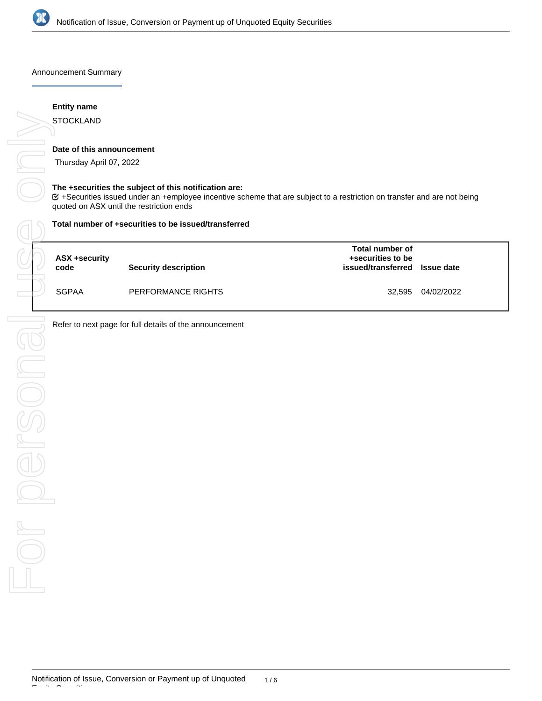

Announcement Summary

# **Entity name**

# **Date of this announcement**

Thursday April 07, 2022

# **The +securities the subject of this notification are:**

+Securities issued under an +employee incentive scheme that are subject to a restriction on transfer and are not being

## **Total number of +securities to be issued/transferred**

| ASX +security<br>code | Security description | Total number of<br>+securities to be<br>issued/transferred | <b>Issue date</b> |
|-----------------------|----------------------|------------------------------------------------------------|-------------------|
| <b>SGPAA</b>          | PERFORMANCE RIGHTS   | 32.595                                                     | 04/02/2022        |

Refer to next page for full details of the announcement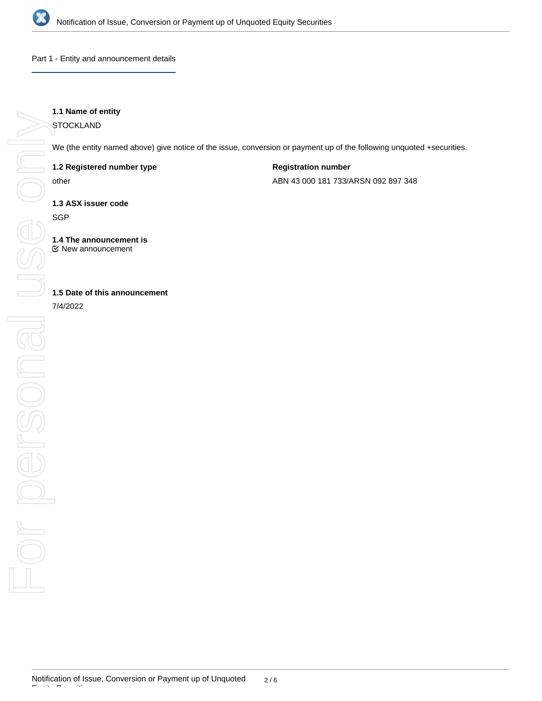

Part 1 - Entity and announcement details

# **1.1 Name of entity**

**STOCKLAND** 

We (the entity named above) give notice of the issue, conversion or payment up of the following unquoted +securities.

**1.2 Registered number type**

other

**Registration number**

ABN 43 000 181 733/ARSN 092 897 348

**1.3 ASX issuer code**

**SGP** 

**1.4 The announcement is** New announcement

# **1.5 Date of this announcement**

7/4/2022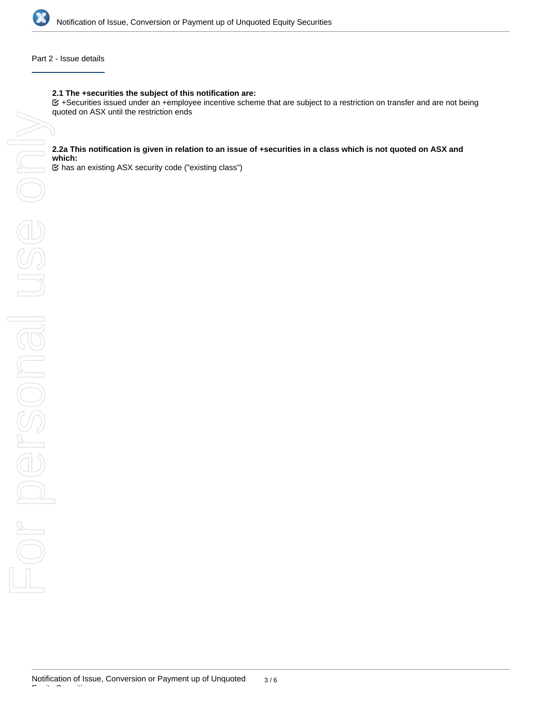

# Part 2 - Issue details

### **2.1 The +securities the subject of this notification are:**

+Securities issued under an +employee incentive scheme that are subject to a restriction on transfer and are not being

### **2.2a This notification is given in relation to an issue of +securities in a class which is not quoted on ASX and which:**

has an existing ASX security code ("existing class")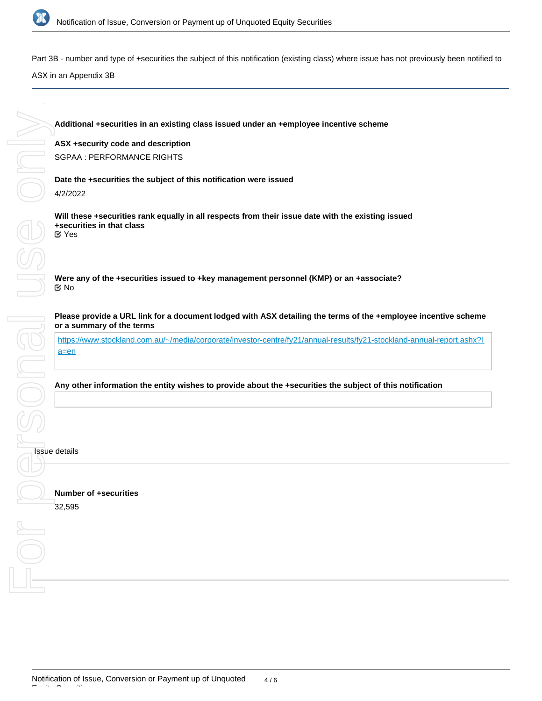

**MIUO OR** 

Part 3B - number and type of +securities the subject of this notification (existing class) where issue has not previously been notified to

ASX in an Appendix 3B

**ASX +security code and description**

SGPAA : PERFORMANCE RIGHTS

**Date the +securities the subject of this notification were issued** 4/2/2022

**Will these +securities rank equally in all respects from their issue date with the existing issued +securities in that class** Yes

**Were any of the +securities issued to +key management personnel (KMP) or an +associate?** No

**Please provide a URL link for a document lodged with ASX detailing the terms of the +employee incentive scheme or a summary of the terms**

[https://www.stockland.com.au/~/media/corporate/investor-centre/fy21/annual-results/fy21-stockland-annual-report.ashx?l](https://www.stockland.com.au/~/media/corporate/investor-centre/fy21/annual-results/fy21-stockland-annual-report.ashx?la=en) [a=en](https://www.stockland.com.au/~/media/corporate/investor-centre/fy21/annual-results/fy21-stockland-annual-report.ashx?la=en)

**Any other information the entity wishes to provide about the +securities the subject of this notification**

# Issue details For personal use only

EOLD

**Number of +securities** 32,595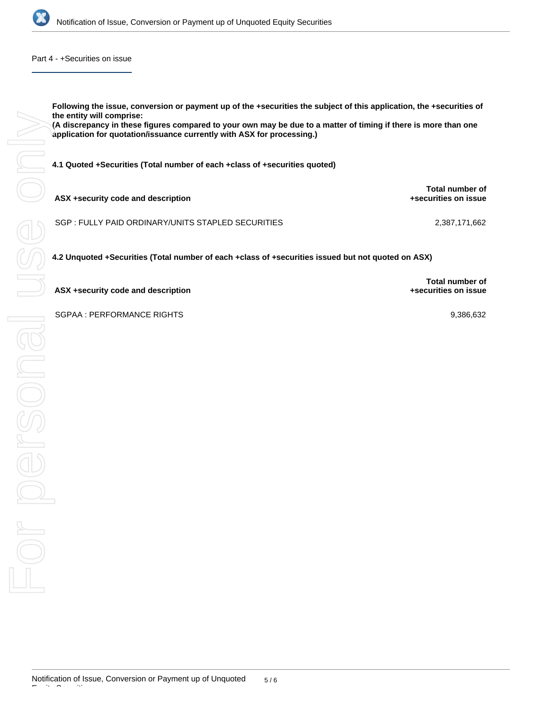

Part 4 - +Securities on issue

**Following the issue, conversion or payment up of the +securities the subject of this application, the +securities of the entity will comprise:**

**(A discrepancy in these figures compared to your own may be due to a matter of timing if there is more than one application for quotation/issuance currently with ASX for processing.)**

**4.1 Quoted +Securities (Total number of each +class of +securities quoted)**

| ASX +security code and description                 | <b>Total number of</b><br>+securities on issue |
|----------------------------------------------------|------------------------------------------------|
| SGP : FULLY PAID ORDINARY/UNITS STAPLED SECURITIES | 2.387.171.662                                  |

**4.2 Unquoted +Securities (Total number of each +class of +securities issued but not quoted on ASX)**

**ASX +security code and description**

SGPAA : PERFORMANCE RIGHTS 9,386,632

**Total number of +securities on issue**

Equity Securities